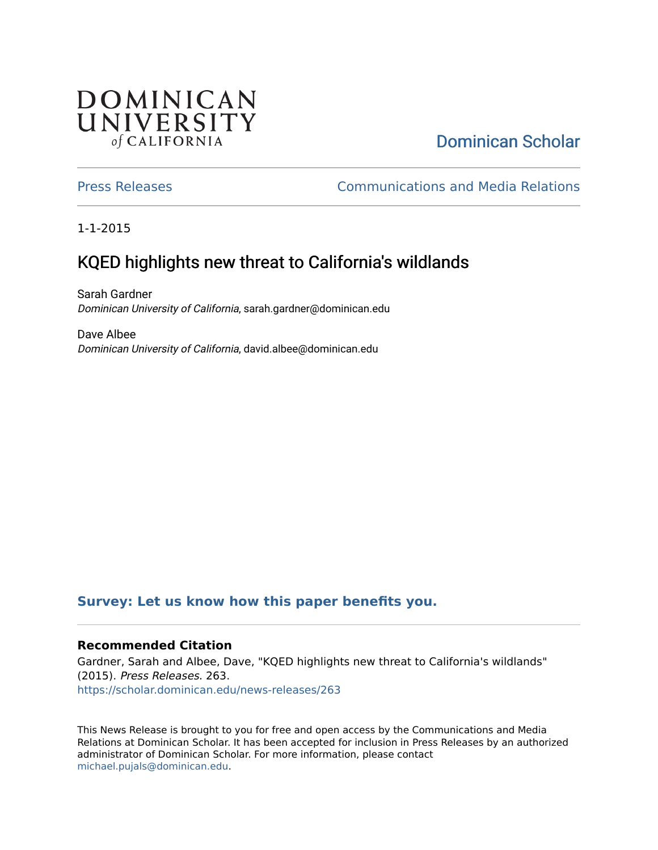## **DOMINICAN** UNIVERSITY of CALIFORNIA

# [Dominican Scholar](https://scholar.dominican.edu/)

[Press Releases](https://scholar.dominican.edu/news-releases) [Communications and Media Relations](https://scholar.dominican.edu/communications-media) 

1-1-2015

# KQED highlights new threat to California's wildlands

Sarah Gardner Dominican University of California, sarah.gardner@dominican.edu

Dave Albee Dominican University of California, david.albee@dominican.edu

#### **[Survey: Let us know how this paper benefits you.](https://dominican.libwizard.com/dominican-scholar-feedback)**

#### **Recommended Citation**

Gardner, Sarah and Albee, Dave, "KQED highlights new threat to California's wildlands" (2015). Press Releases. 263. [https://scholar.dominican.edu/news-releases/263](https://scholar.dominican.edu/news-releases/263?utm_source=scholar.dominican.edu%2Fnews-releases%2F263&utm_medium=PDF&utm_campaign=PDFCoverPages)

This News Release is brought to you for free and open access by the Communications and Media Relations at Dominican Scholar. It has been accepted for inclusion in Press Releases by an authorized administrator of Dominican Scholar. For more information, please contact [michael.pujals@dominican.edu.](mailto:michael.pujals@dominican.edu)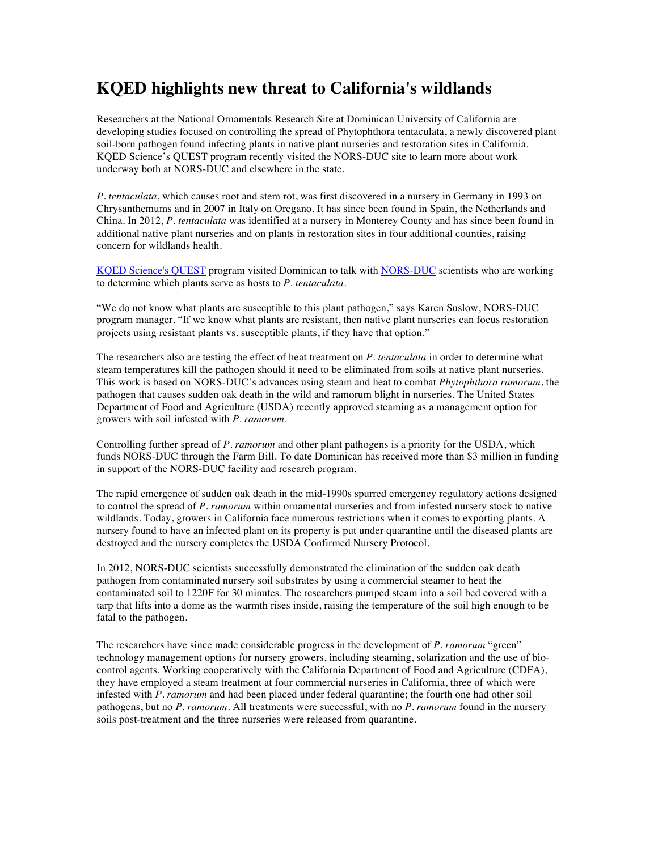### **KQED highlights new threat to California's wildlands**

Researchers at the National Ornamentals Research Site at Dominican University of California are developing studies focused on controlling the spread of Phytophthora tentaculata, a newly discovered plant soil-born pathogen found infecting plants in native plant nurseries and restoration sites in California. KQED Science's QUEST program recently visited the NORS-DUC site to learn more about work underway both at NORS-DUC and elsewhere in the state.

*P. tentaculata*, which causes root and stem rot, was first discovered in a nursery in Germany in 1993 on Chrysanthemums and in 2007 in Italy on Oregano. It has since been found in Spain, the Netherlands and China. In 2012, *P. tentaculata* was identified at a nursery in Monterey County and has since been found in additional native plant nurseries and on plants in restoration sites in four additional counties, raising concern for wildlands health.

KQED Science's QUEST program visited Dominican to talk with NORS-DUC scientists who are working to determine which plants serve as hosts to *P. tentaculata*.

"We do not know what plants are susceptible to this plant pathogen," says Karen Suslow, NORS-DUC program manager. "If we know what plants are resistant, then native plant nurseries can focus restoration projects using resistant plants vs. susceptible plants, if they have that option."

The researchers also are testing the effect of heat treatment on *P. tentaculata* in order to determine what steam temperatures kill the pathogen should it need to be eliminated from soils at native plant nurseries. This work is based on NORS-DUC's advances using steam and heat to combat *Phytophthora ramorum*, the pathogen that causes sudden oak death in the wild and ramorum blight in nurseries. The United States Department of Food and Agriculture (USDA) recently approved steaming as a management option for growers with soil infested with *P. ramorum*.

Controlling further spread of *P. ramorum* and other plant pathogens is a priority for the USDA, which funds NORS-DUC through the Farm Bill. To date Dominican has received more than \$3 million in funding in support of the NORS-DUC facility and research program.

The rapid emergence of sudden oak death in the mid-1990s spurred emergency regulatory actions designed to control the spread of *P. ramorum* within ornamental nurseries and from infested nursery stock to native wildlands. Today, growers in California face numerous restrictions when it comes to exporting plants. A nursery found to have an infected plant on its property is put under quarantine until the diseased plants are destroyed and the nursery completes the USDA Confirmed Nursery Protocol.

In 2012, NORS-DUC scientists successfully demonstrated the elimination of the sudden oak death pathogen from contaminated nursery soil substrates by using a commercial steamer to heat the contaminated soil to 1220F for 30 minutes. The researchers pumped steam into a soil bed covered with a tarp that lifts into a dome as the warmth rises inside, raising the temperature of the soil high enough to be fatal to the pathogen.

The researchers have since made considerable progress in the development of *P. ramorum* "green" technology management options for nursery growers, including steaming, solarization and the use of biocontrol agents. Working cooperatively with the California Department of Food and Agriculture (CDFA), they have employed a steam treatment at four commercial nurseries in California, three of which were infested with *P. ramorum* and had been placed under federal quarantine; the fourth one had other soil pathogens, but no *P. ramorum*. All treatments were successful, with no *P. ramorum* found in the nursery soils post-treatment and the three nurseries were released from quarantine.